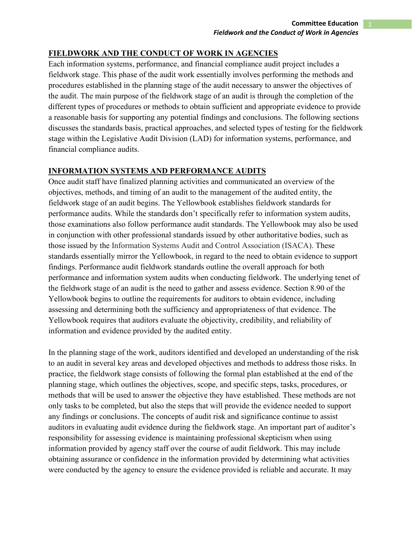## **FIELDWORK AND THE CONDUCT OF WORK IN AGENCIES**

Each information systems, performance, and financial compliance audit project includes a fieldwork stage. This phase of the audit work essentially involves performing the methods and procedures established in the planning stage of the audit necessary to answer the objectives of the audit. The main purpose of the fieldwork stage of an audit is through the completion of the different types of procedures or methods to obtain sufficient and appropriate evidence to provide a reasonable basis for supporting any potential findings and conclusions. The following sections discusses the standards basis, practical approaches, and selected types of testing for the fieldwork stage within the Legislative Audit Division (LAD) for information systems, performance, and financial compliance audits.

## **INFORMATION SYSTEMS AND PERFORMANCE AUDITS**

Once audit staff have finalized planning activities and communicated an overview of the objectives, methods, and timing of an audit to the management of the audited entity, the fieldwork stage of an audit begins. The Yellowbook establishes fieldwork standards for performance audits. While the standards don't specifically refer to information system audits, those examinations also follow performance audit standards. The Yellowbook may also be used in conjunction with other professional standards issued by other authoritative bodies, such as those issued by the Information Systems Audit and Control Association (ISACA). These standards essentially mirror the Yellowbook, in regard to the need to obtain evidence to support findings. Performance audit fieldwork standards outline the overall approach for both performance and information system audits when conducting fieldwork. The underlying tenet of the fieldwork stage of an audit is the need to gather and assess evidence. Section 8.90 of the Yellowbook begins to outline the requirements for auditors to obtain evidence, including assessing and determining both the sufficiency and appropriateness of that evidence. The Yellowbook requires that auditors evaluate the objectivity, credibility, and reliability of information and evidence provided by the audited entity.

In the planning stage of the work, auditors identified and developed an understanding of the risk to an audit in several key areas and developed objectives and methods to address those risks. In practice, the fieldwork stage consists of following the formal plan established at the end of the planning stage, which outlines the objectives, scope, and specific steps, tasks, procedures, or methods that will be used to answer the objective they have established. These methods are not only tasks to be completed, but also the steps that will provide the evidence needed to support any findings or conclusions. The concepts of audit risk and significance continue to assist auditors in evaluating audit evidence during the fieldwork stage. An important part of auditor's responsibility for assessing evidence is maintaining professional skepticism when using information provided by agency staff over the course of audit fieldwork. This may include obtaining assurance or confidence in the information provided by determining what activities were conducted by the agency to ensure the evidence provided is reliable and accurate. It may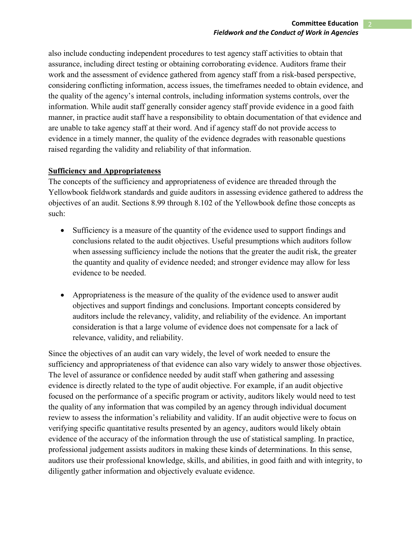also include conducting independent procedures to test agency staff activities to obtain that assurance, including direct testing or obtaining corroborating evidence. Auditors frame their work and the assessment of evidence gathered from agency staff from a risk-based perspective, considering conflicting information, access issues, the timeframes needed to obtain evidence, and the quality of the agency's internal controls, including information systems controls, over the information. While audit staff generally consider agency staff provide evidence in a good faith manner, in practice audit staff have a responsibility to obtain documentation of that evidence and are unable to take agency staff at their word. And if agency staff do not provide access to evidence in a timely manner, the quality of the evidence degrades with reasonable questions raised regarding the validity and reliability of that information.

### **Sufficiency and Appropriateness**

The concepts of the sufficiency and appropriateness of evidence are threaded through the Yellowbook fieldwork standards and guide auditors in assessing evidence gathered to address the objectives of an audit. Sections 8.99 through 8.102 of the Yellowbook define those concepts as such:

- Sufficiency is a measure of the quantity of the evidence used to support findings and conclusions related to the audit objectives. Useful presumptions which auditors follow when assessing sufficiency include the notions that the greater the audit risk, the greater the quantity and quality of evidence needed; and stronger evidence may allow for less evidence to be needed.
- Appropriateness is the measure of the quality of the evidence used to answer audit objectives and support findings and conclusions. Important concepts considered by auditors include the relevancy, validity, and reliability of the evidence. An important consideration is that a large volume of evidence does not compensate for a lack of relevance, validity, and reliability.

Since the objectives of an audit can vary widely, the level of work needed to ensure the sufficiency and appropriateness of that evidence can also vary widely to answer those objectives. The level of assurance or confidence needed by audit staff when gathering and assessing evidence is directly related to the type of audit objective. For example, if an audit objective focused on the performance of a specific program or activity, auditors likely would need to test the quality of any information that was compiled by an agency through individual document review to assess the information's reliability and validity. If an audit objective were to focus on verifying specific quantitative results presented by an agency, auditors would likely obtain evidence of the accuracy of the information through the use of statistical sampling. In practice, professional judgement assists auditors in making these kinds of determinations. In this sense, auditors use their professional knowledge, skills, and abilities, in good faith and with integrity, to diligently gather information and objectively evaluate evidence.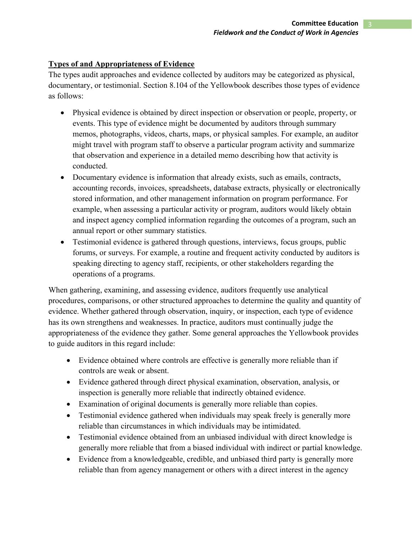# **Types of and Appropriateness of Evidence**

The types audit approaches and evidence collected by auditors may be categorized as physical, documentary, or testimonial. Section 8.104 of the Yellowbook describes those types of evidence as follows:

- Physical evidence is obtained by direct inspection or observation or people, property, or events. This type of evidence might be documented by auditors through summary memos, photographs, videos, charts, maps, or physical samples. For example, an auditor might travel with program staff to observe a particular program activity and summarize that observation and experience in a detailed memo describing how that activity is conducted.
- Documentary evidence is information that already exists, such as emails, contracts, accounting records, invoices, spreadsheets, database extracts, physically or electronically stored information, and other management information on program performance. For example, when assessing a particular activity or program, auditors would likely obtain and inspect agency complied information regarding the outcomes of a program, such an annual report or other summary statistics.
- Testimonial evidence is gathered through questions, interviews, focus groups, public forums, or surveys. For example, a routine and frequent activity conducted by auditors is speaking directing to agency staff, recipients, or other stakeholders regarding the operations of a programs.

When gathering, examining, and assessing evidence, auditors frequently use analytical procedures, comparisons, or other structured approaches to determine the quality and quantity of evidence. Whether gathered through observation, inquiry, or inspection, each type of evidence has its own strengthens and weaknesses. In practice, auditors must continually judge the appropriateness of the evidence they gather. Some general approaches the Yellowbook provides to guide auditors in this regard include:

- Evidence obtained where controls are effective is generally more reliable than if controls are weak or absent.
- Evidence gathered through direct physical examination, observation, analysis, or inspection is generally more reliable that indirectly obtained evidence.
- Examination of original documents is generally more reliable than copies.
- Testimonial evidence gathered when individuals may speak freely is generally more reliable than circumstances in which individuals may be intimidated.
- Testimonial evidence obtained from an unbiased individual with direct knowledge is generally more reliable that from a biased individual with indirect or partial knowledge.
- Evidence from a knowledgeable, credible, and unbiased third party is generally more reliable than from agency management or others with a direct interest in the agency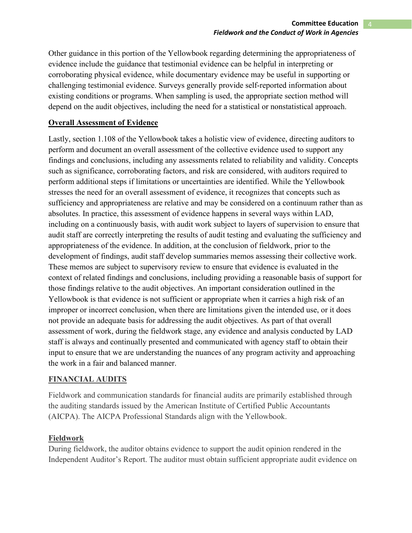Other guidance in this portion of the Yellowbook regarding determining the appropriateness of evidence include the guidance that testimonial evidence can be helpful in interpreting or corroborating physical evidence, while documentary evidence may be useful in supporting or challenging testimonial evidence. Surveys generally provide self-reported information about existing conditions or programs. When sampling is used, the appropriate section method will depend on the audit objectives, including the need for a statistical or nonstatistical approach.

### **Overall Assessment of Evidence**

Lastly, section 1.108 of the Yellowbook takes a holistic view of evidence, directing auditors to perform and document an overall assessment of the collective evidence used to support any findings and conclusions, including any assessments related to reliability and validity. Concepts such as significance, corroborating factors, and risk are considered, with auditors required to perform additional steps if limitations or uncertainties are identified. While the Yellowbook stresses the need for an overall assessment of evidence, it recognizes that concepts such as sufficiency and appropriateness are relative and may be considered on a continuum rather than as absolutes. In practice, this assessment of evidence happens in several ways within LAD, including on a continuously basis, with audit work subject to layers of supervision to ensure that audit staff are correctly interpreting the results of audit testing and evaluating the sufficiency and appropriateness of the evidence. In addition, at the conclusion of fieldwork, prior to the development of findings, audit staff develop summaries memos assessing their collective work. These memos are subject to supervisory review to ensure that evidence is evaluated in the context of related findings and conclusions, including providing a reasonable basis of support for those findings relative to the audit objectives. An important consideration outlined in the Yellowbook is that evidence is not sufficient or appropriate when it carries a high risk of an improper or incorrect conclusion, when there are limitations given the intended use, or it does not provide an adequate basis for addressing the audit objectives. As part of that overall assessment of work, during the fieldwork stage, any evidence and analysis conducted by LAD staff is always and continually presented and communicated with agency staff to obtain their input to ensure that we are understanding the nuances of any program activity and approaching the work in a fair and balanced manner.

## **FINANCIAL AUDITS**

Fieldwork and communication standards for financial audits are primarily established through the auditing standards issued by the American Institute of Certified Public Accountants (AICPA). The AICPA Professional Standards align with the Yellowbook.

### **Fieldwork**

During fieldwork, the auditor obtains evidence to support the audit opinion rendered in the Independent Auditor's Report. The auditor must obtain sufficient appropriate audit evidence on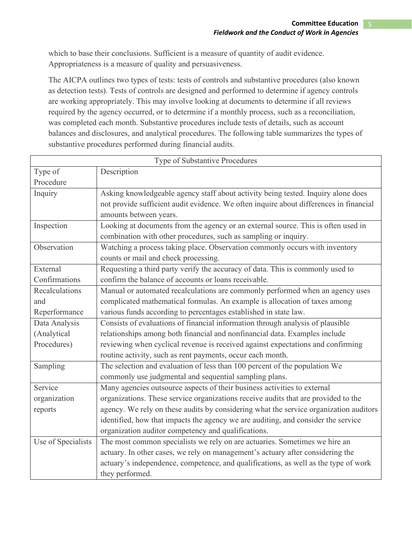which to base their conclusions. Sufficient is a measure of quantity of audit evidence. Appropriateness is a measure of quality and persuasiveness.

The AICPA outlines two types of tests: tests of controls and substantive procedures (also known as detection tests). Tests of controls are designed and performed to determine if agency controls are working appropriately. This may involve looking at documents to determine if all reviews required by the agency occurred, or to determine if a monthly process, such as a reconciliation, was completed each month. Substantive procedures include tests of details, such as account balances and disclosures, and analytical procedures. The following table summarizes the types of substantive procedures performed during financial audits.

| Type of Substantive Procedures |                                                                                        |
|--------------------------------|----------------------------------------------------------------------------------------|
| Type of                        | Description                                                                            |
| Procedure                      |                                                                                        |
| Inquiry                        | Asking knowledgeable agency staff about activity being tested. Inquiry alone does      |
|                                | not provide sufficient audit evidence. We often inquire about differences in financial |
|                                | amounts between years.                                                                 |
| Inspection                     | Looking at documents from the agency or an external source. This is often used in      |
|                                | combination with other procedures, such as sampling or inquiry.                        |
| Observation                    | Watching a process taking place. Observation commonly occurs with inventory            |
|                                | counts or mail and check processing.                                                   |
| External                       | Requesting a third party verify the accuracy of data. This is commonly used to         |
| Confirmations                  | confirm the balance of accounts or loans receivable.                                   |
| Recalculations                 | Manual or automated recalculations are commonly performed when an agency uses          |
| and                            | complicated mathematical formulas. An example is allocation of taxes among             |
| Reperformance                  | various funds according to percentages established in state law.                       |
| Data Analysis                  | Consists of evaluations of financial information through analysis of plausible         |
| (Analytical                    | relationships among both financial and nonfinancial data. Examples include             |
| Procedures)                    | reviewing when cyclical revenue is received against expectations and confirming        |
|                                | routine activity, such as rent payments, occur each month.                             |
| Sampling                       | The selection and evaluation of less than 100 percent of the population We             |
|                                | commonly use judgmental and sequential sampling plans.                                 |
| Service                        | Many agencies outsource aspects of their business activities to external               |
| organization                   | organizations. These service organizations receive audits that are provided to the     |
| reports                        | agency. We rely on these audits by considering what the service organization auditors  |
|                                | identified, how that impacts the agency we are auditing, and consider the service      |
|                                | organization auditor competency and qualifications.                                    |
| Use of Specialists             | The most common specialists we rely on are actuaries. Sometimes we hire an             |
|                                | actuary. In other cases, we rely on management's actuary after considering the         |
|                                | actuary's independence, competence, and qualifications, as well as the type of work    |
|                                | they performed.                                                                        |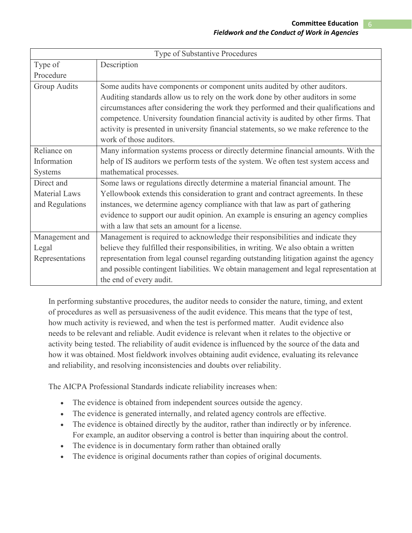| Type of Substantive Procedures |                                                                                       |
|--------------------------------|---------------------------------------------------------------------------------------|
| Type of                        | Description                                                                           |
| Procedure                      |                                                                                       |
| <b>Group Audits</b>            | Some audits have components or component units audited by other auditors.             |
|                                | Auditing standards allow us to rely on the work done by other auditors in some        |
|                                | circumstances after considering the work they performed and their qualifications and  |
|                                | competence. University foundation financial activity is audited by other firms. That  |
|                                | activity is presented in university financial statements, so we make reference to the |
|                                | work of those auditors.                                                               |
| Reliance on                    | Many information systems process or directly determine financial amounts. With the    |
| Information                    | help of IS auditors we perform tests of the system. We often test system access and   |
| <b>Systems</b>                 | mathematical processes.                                                               |
| Direct and                     | Some laws or regulations directly determine a material financial amount. The          |
| <b>Material Laws</b>           | Yellowbook extends this consideration to grant and contract agreements. In these      |
| and Regulations                | instances, we determine agency compliance with that law as part of gathering          |
|                                | evidence to support our audit opinion. An example is ensuring an agency complies      |
|                                | with a law that sets an amount for a license.                                         |
| Management and                 | Management is required to acknowledge their responsibilities and indicate they        |
| Legal                          | believe they fulfilled their responsibilities, in writing. We also obtain a written   |
| Representations                | representation from legal counsel regarding outstanding litigation against the agency |
|                                | and possible contingent liabilities. We obtain management and legal representation at |
|                                | the end of every audit.                                                               |

In performing substantive procedures, the auditor needs to consider the nature, timing, and extent of procedures as well as persuasiveness of the audit evidence. This means that the type of test, how much activity is reviewed, and when the test is performed matter. Audit evidence also needs to be relevant and reliable. Audit evidence is relevant when it relates to the objective or activity being tested. The reliability of audit evidence is influenced by the source of the data and how it was obtained. Most fieldwork involves obtaining audit evidence, evaluating its relevance and reliability, and resolving inconsistencies and doubts over reliability.

The AICPA Professional Standards indicate reliability increases when:

- The evidence is obtained from independent sources outside the agency.
- The evidence is generated internally, and related agency controls are effective.
- The evidence is obtained directly by the auditor, rather than indirectly or by inference. For example, an auditor observing a control is better than inquiring about the control.
- The evidence is in documentary form rather than obtained orally
- The evidence is original documents rather than copies of original documents.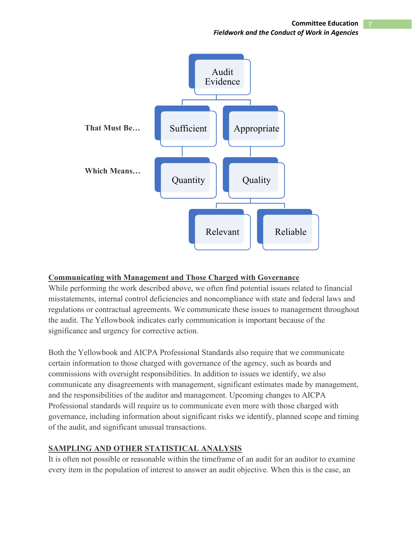**Committee Education** 7 *Fieldwork and the Conduct of Work in Agencies* 



### **Communicating with Management and Those Charged with Governance**

While performing the work described above, we often find potential issues related to financial misstatements, internal control deficiencies and noncompliance with state and federal laws and regulations or contractual agreements. We communicate these issues to management throughout the audit. The Yellowbook indicates early communication is important because of the significance and urgency for corrective action.

Both the Yellowbook and AICPA Professional Standards also require that we communicate certain information to those charged with governance of the agency, such as boards and commissions with oversight responsibilities. In addition to issues we identify, we also communicate any disagreements with management, significant estimates made by management, and the responsibilities of the auditor and management. Upcoming changes to AICPA Professional standards will require us to communicate even more with those charged with governance, including information about significant risks we identify, planned scope and timing of the audit, and significant unusual transactions.

#### **SAMPLING AND OTHER STATISTICAL ANALYSIS**

It is often not possible or reasonable within the timeframe of an audit for an auditor to examine every item in the population of interest to answer an audit objective. When this is the case, an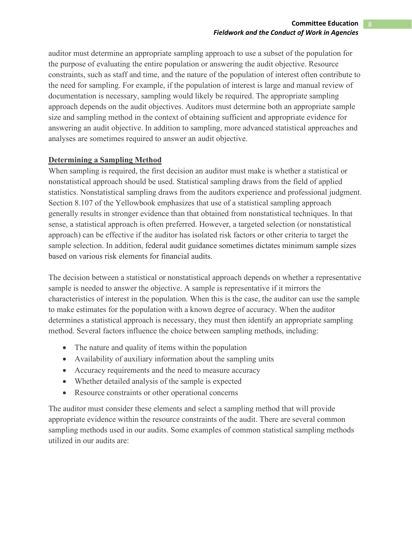auditor must determine an appropriate sampling approach to use a subset of the population for the purpose of evaluating the entire population or answering the audit objective. Resource constraints, such as staff and time, and the nature of the population of interest often contribute to the need for sampling. For example, if the population of interest is large and manual review of documentation is necessary, sampling would likely be required. The appropriate sampling approach depends on the audit objectives. Auditors must determine both an appropriate sample size and sampling method in the context of obtaining sufficient and appropriate evidence for answering an audit objective. In addition to sampling, more advanced statistical approaches and analyses are sometimes required to answer an audit objective.

## **Determining a Sampling Method**

When sampling is required, the first decision an auditor must make is whether a statistical or nonstatistical approach should be used. Statistical sampling draws from the field of applied statistics. Nonstatistical sampling draws from the auditors experience and professional judgment. Section 8.107 of the Yellowbook emphasizes that use of a statistical sampling approach generally results in stronger evidence than that obtained from nonstatistical techniques. In that sense, a statistical approach is often preferred. However, a targeted selection (or nonstatistical approach) can be effective if the auditor has isolated risk factors or other criteria to target the sample selection. In addition, federal audit guidance sometimes dictates minimum sample sizes based on various risk elements for financial audits.

The decision between a statistical or nonstatistical approach depends on whether a representative sample is needed to answer the objective. A sample is representative if it mirrors the characteristics of interest in the population. When this is the case, the auditor can use the sample to make estimates for the population with a known degree of accuracy. When the auditor determines a statistical approach is necessary, they must then identify an appropriate sampling method. Several factors influence the choice between sampling methods, including:

- The nature and quality of items within the population
- Availability of auxiliary information about the sampling units
- Accuracy requirements and the need to measure accuracy
- Whether detailed analysis of the sample is expected
- Resource constraints or other operational concerns

The auditor must consider these elements and select a sampling method that will provide appropriate evidence within the resource constraints of the audit. There are several common sampling methods used in our audits. Some examples of common statistical sampling methods utilized in our audits are: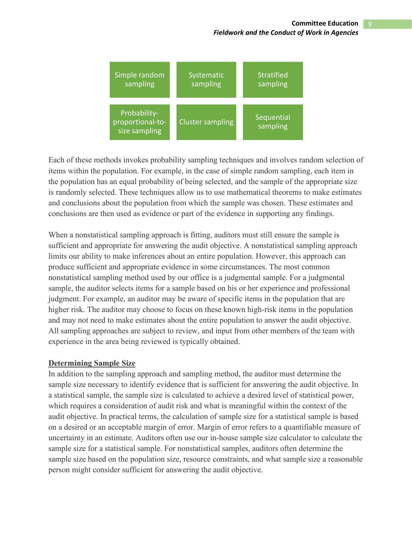

Each of these methods invokes probability sampling techniques and involves random selection of items within the population. For example, in the case of simple random sampling, each item in the population has an equal probability of being selected, and the sample of the appropriate size is randomly selected. These techniques allow us to use mathematical theorems to make estimates and conclusions about the population from which the sample was chosen. These estimates and conclusions are then used as evidence or part of the evidence in supporting any findings.

When a nonstatistical sampling approach is fitting, auditors must still ensure the sample is sufficient and appropriate for answering the audit objective. A nonstatistical sampling approach limits our ability to make inferences about an entire population. However, this approach can produce sufficient and appropriate evidence in some circumstances. The most common nonstatistical sampling method used by our office is a judgmental sample. For a judgmental sample, the auditor selects items for a sample based on his or her experience and professional judgment. For example, an auditor may be aware of specific items in the population that are higher risk. The auditor may choose to focus on these known high-risk items in the population and may not need to make estimates about the entire population to answer the audit objective. All sampling approaches are subject to review, and input from other members of the team with experience in the area being reviewed is typically obtained.

### **Determining Sample Size**

In addition to the sampling approach and sampling method, the auditor must determine the sample size necessary to identify evidence that is sufficient for answering the audit objective. In a statistical sample, the sample size is calculated to achieve a desired level of statistical power, which requires a consideration of audit risk and what is meaningful within the context of the audit objective. In practical terms, the calculation of sample size for a statistical sample is based on a desired or an acceptable margin of error. Margin of error refers to a quantifiable measure of uncertainty in an estimate. Auditors often use our in-house sample size calculator to calculate the sample size for a statistical sample. For nonstatistical samples, auditors often determine the sample size based on the population size, resource constraints, and what sample size a reasonable person might consider sufficient for answering the audit objective.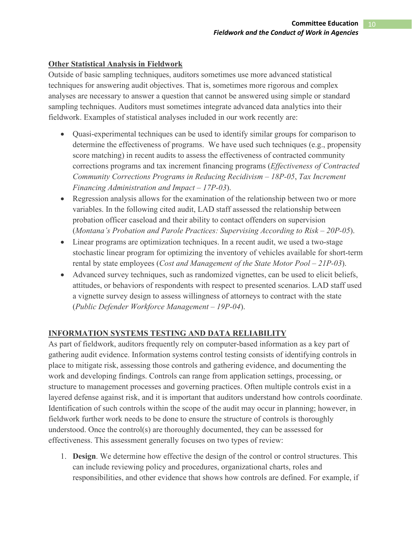# **Other Statistical Analysis in Fieldwork**

Outside of basic sampling techniques, auditors sometimes use more advanced statistical techniques for answering audit objectives. That is, sometimes more rigorous and complex analyses are necessary to answer a question that cannot be answered using simple or standard sampling techniques. Auditors must sometimes integrate advanced data analytics into their fieldwork. Examples of statistical analyses included in our work recently are:

- Quasi-experimental techniques can be used to identify similar groups for comparison to determine the effectiveness of programs. We have used such techniques (e.g., propensity score matching) in recent audits to assess the effectiveness of contracted community corrections programs and tax increment financing programs (*Effectiveness of Contracted Community Corrections Programs in Reducing Recidivism – 18P-05*, *Tax Increment Financing Administration and Impact – 17P-03*).
- Regression analysis allows for the examination of the relationship between two or more variables. In the following cited audit, LAD staff assessed the relationship between probation officer caseload and their ability to contact offenders on supervision (*Montana's Probation and Parole Practices: Supervising According to Risk – 20P-05*).
- Linear programs are optimization techniques. In a recent audit, we used a two-stage stochastic linear program for optimizing the inventory of vehicles available for short-term rental by state employees (*Cost and Management of the State Motor Pool – 21P-03*).
- Advanced survey techniques, such as randomized vignettes, can be used to elicit beliefs, attitudes, or behaviors of respondents with respect to presented scenarios. LAD staff used a vignette survey design to assess willingness of attorneys to contract with the state (*Public Defender Workforce Management – 19P-04*).

## **INFORMATION SYSTEMS TESTING AND DATA RELIABILITY**

As part of fieldwork, auditors frequently rely on computer-based information as a key part of gathering audit evidence. Information systems control testing consists of identifying controls in place to mitigate risk, assessing those controls and gathering evidence, and documenting the work and developing findings. Controls can range from application settings, processing, or structure to management processes and governing practices. Often multiple controls exist in a layered defense against risk, and it is important that auditors understand how controls coordinate. Identification of such controls within the scope of the audit may occur in planning; however, in fieldwork further work needs to be done to ensure the structure of controls is thoroughly understood. Once the control(s) are thoroughly documented, they can be assessed for effectiveness. This assessment generally focuses on two types of review:

1. **Design**. We determine how effective the design of the control or control structures. This can include reviewing policy and procedures, organizational charts, roles and responsibilities, and other evidence that shows how controls are defined. For example, if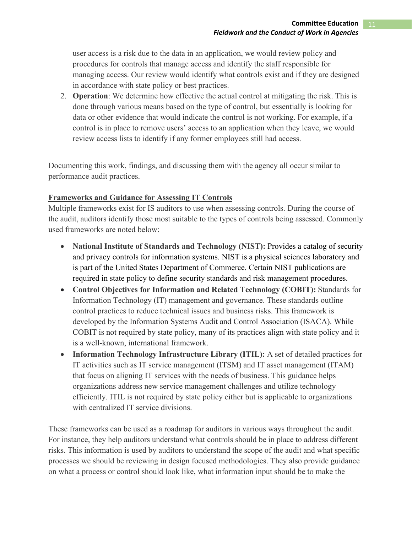user access is a risk due to the data in an application, we would review policy and procedures for controls that manage access and identify the staff responsible for managing access. Our review would identify what controls exist and if they are designed in accordance with state policy or best practices.

2. **Operation**: We determine how effective the actual control at mitigating the risk. This is done through various means based on the type of control, but essentially is looking for data or other evidence that would indicate the control is not working. For example, if a control is in place to remove users' access to an application when they leave, we would review access lists to identify if any former employees still had access.

Documenting this work, findings, and discussing them with the agency all occur similar to performance audit practices.

## **Frameworks and Guidance for Assessing IT Controls**

Multiple frameworks exist for IS auditors to use when assessing controls. During the course of the audit, auditors identify those most suitable to the types of controls being assessed. Commonly used frameworks are noted below:

- **National Institute of Standards and Technology (NIST):** Provides a catalog of security and privacy controls for information systems. NIST is a physical sciences laboratory and is part of the United States Department of Commerce. Certain NIST publications are required in state policy to define security standards and risk management procedures.
- **Control Objectives for Information and Related Technology (COBIT):** Standards for Information Technology (IT) management and governance. These standards outline control practices to reduce technical issues and business risks. This framework is developed by the Information Systems Audit and Control Association (ISACA). While COBIT is not required by state policy, many of its practices align with state policy and it is a well-known, international framework.
- **Information Technology Infrastructure Library (ITIL):** A set of detailed practices for IT activities such as IT service management (ITSM) and IT asset management (ITAM) that focus on aligning IT services with the needs of business. This guidance helps organizations address new service management challenges and utilize technology efficiently. ITIL is not required by state policy either but is applicable to organizations with centralized IT service divisions.

These frameworks can be used as a roadmap for auditors in various ways throughout the audit. For instance, they help auditors understand what controls should be in place to address different risks. This information is used by auditors to understand the scope of the audit and what specific processes we should be reviewing in design focused methodologies. They also provide guidance on what a process or control should look like, what information input should be to make the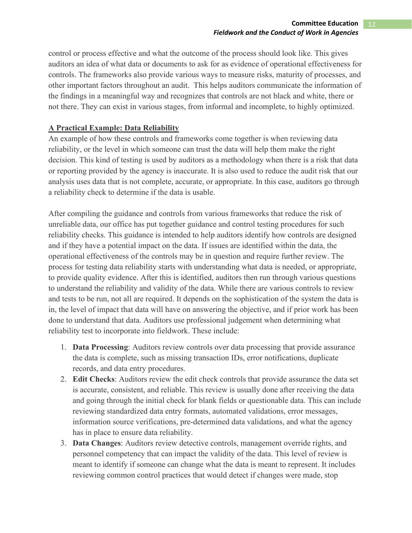control or process effective and what the outcome of the process should look like. This gives auditors an idea of what data or documents to ask for as evidence of operational effectiveness for controls. The frameworks also provide various ways to measure risks, maturity of processes, and other important factors throughout an audit. This helps auditors communicate the information of the findings in a meaningful way and recognizes that controls are not black and white, there or not there. They can exist in various stages, from informal and incomplete, to highly optimized.

## **A Practical Example: Data Reliability**

An example of how these controls and frameworks come together is when reviewing data reliability, or the level in which someone can trust the data will help them make the right decision. This kind of testing is used by auditors as a methodology when there is a risk that data or reporting provided by the agency is inaccurate. It is also used to reduce the audit risk that our analysis uses data that is not complete, accurate, or appropriate. In this case, auditors go through a reliability check to determine if the data is usable.

After compiling the guidance and controls from various frameworks that reduce the risk of unreliable data, our office has put together guidance and control testing procedures for such reliability checks. This guidance is intended to help auditors identify how controls are designed and if they have a potential impact on the data. If issues are identified within the data, the operational effectiveness of the controls may be in question and require further review. The process for testing data reliability starts with understanding what data is needed, or appropriate, to provide quality evidence. After this is identified, auditors then run through various questions to understand the reliability and validity of the data. While there are various controls to review and tests to be run, not all are required. It depends on the sophistication of the system the data is in, the level of impact that data will have on answering the objective, and if prior work has been done to understand that data. Auditors use professional judgement when determining what reliability test to incorporate into fieldwork. These include:

- 1. **Data Processing**: Auditors review controls over data processing that provide assurance the data is complete, such as missing transaction IDs, error notifications, duplicate records, and data entry procedures.
- 2. **Edit Checks**: Auditors review the edit check controls that provide assurance the data set is accurate, consistent, and reliable. This review is usually done after receiving the data and going through the initial check for blank fields or questionable data. This can include reviewing standardized data entry formats, automated validations, error messages, information source verifications, pre-determined data validations, and what the agency has in place to ensure data reliability.
- 3. **Data Changes**: Auditors review detective controls, management override rights, and personnel competency that can impact the validity of the data. This level of review is meant to identify if someone can change what the data is meant to represent. It includes reviewing common control practices that would detect if changes were made, stop